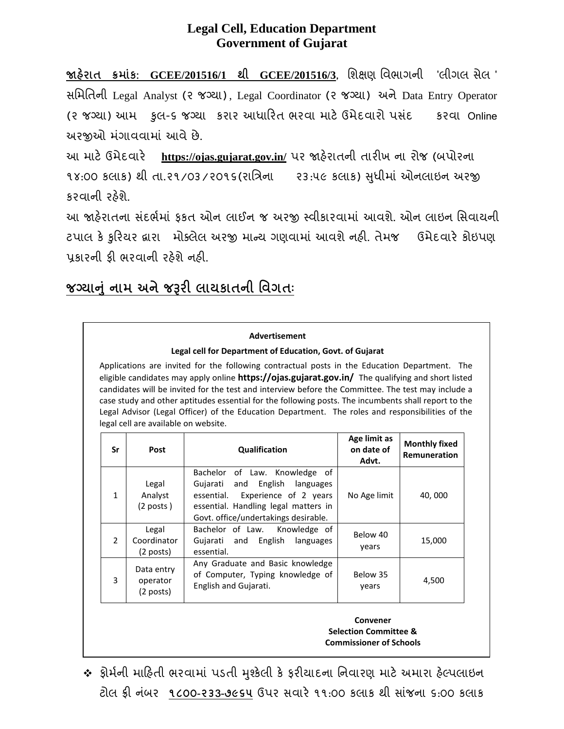## **Legal Cell, Education Department Government of Gujarat**

**�હરાત� ક્રમાંક: GCEE/201516/1 થી GCEE/201516/3**, િશક્ષણ િવભાગની 'લીગલ સેલ ' સિમિતની Legal Analyst (૨ જગ્યા) , Legal Coordinator (૨ જગ્યા) અને Data Entry Operator (૨ જગ્યા) આમ કુલ-૬ જગ્યા કરાર આધારિત ભરવા માટે ઉમેદવારો પસંદ કરવા Online અર�ઓ મ ંગાવવામાં આવે છે.

આ માટે ઉમેદવારે https://ojas.gujarat.gov.in/ પર જાહેરાતની તારીખ ના રોજ (બપોરના ૧૪:૦૦ કલાક) થી તા.૨૧/૦૩/૨૦૧૬(રાિત્રના ૨૩:૫૯ કલાક) �ધીમાં ઓનલાઇન અર� ુ કરવાની રહેશે.

આ જાહેરાતના સંદર્ભમાં કકત ઓન લાઈન જ અરજી સ્વીકારવામાં આવશે. ઓન લાઇન સિવાયની ટપાલ કે ફરિયર દ્વારા મોક્લેલ અરજી માન્ય ગણવામાં આવશે નહી. તેમજ ઉમેદવારે કોઇપણ પ્રકારની કી ભરવાની રહેશે નહી.

# <u>જગ્યાનુ નામ અને જરૂરી લાયકાતની વિગતઃ</u>

#### **Advertisement**

#### **Legal cell for Department of Education, Govt. of Gujarat**

Applications are invited for the following contractual posts in the Education Department. The eligible candidates may apply online **https://ojas.gujarat.gov.in/** The qualifying and short listed candidates will be invited for the test and interview before the Committee. The test may include a case study and other aptitudes essential for the following posts. The incumbents shall report to the Legal Advisor (Legal Officer) of the Education Department. The roles and responsibilities of the legal cell are available on website.

| Sr             | Post                                  | Qualification                                                                                                                                                                          | Age limit as<br>on date of<br>Advt. | <b>Monthly fixed</b><br>Remuneration |
|----------------|---------------------------------------|----------------------------------------------------------------------------------------------------------------------------------------------------------------------------------------|-------------------------------------|--------------------------------------|
| $\mathbf{1}$   | Legal<br>Analyst<br>$(2$ posts)       | Bachelor of Law. Knowledge of<br>and English languages<br>Gujarati<br>essential. Experience of 2 years<br>essential. Handling legal matters in<br>Govt. office/undertakings desirable. | No Age limit                        | 40,000                               |
| $\overline{2}$ | Legal<br>Coordinator<br>$(2$ posts)   | Bachelor of Law.<br>Knowledge of<br>Gujarati and English<br>languages<br>essential.                                                                                                    | Below 40<br>vears                   | 15,000                               |
| 3              | Data entry<br>operator<br>$(2$ posts) | Any Graduate and Basic knowledge<br>of Computer, Typing knowledge of<br>English and Gujarati.                                                                                          | Below 35<br>years                   | 4,500                                |

**Convener Selection Committee & Commissioner of Schools**

❖ ક્રોર્મની માહિતી ભરવામાં પડતી મુશ્કેલી કે કરીચાદના નિવારણ માટે અમારા હેલ્પલાઇન ટોલ ફ્ર� ન ંબર **૧૮૦૦-૨૩3-૭૯૬૫** ઉપર સવાર�૧૧:૦૦ કલાક થી સાંજના ૬:૦૦ કલાક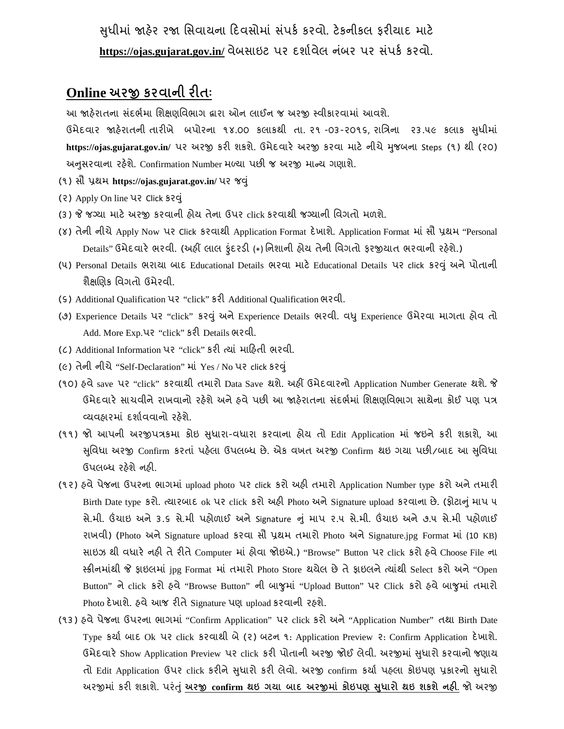સુધીમાં જાહેર રજા સિવાયના દિવસોમાં સંપર્ક કરવો. ટેકનીકલ કરીચાદ માટે https://ojas.gujarat.gov.in/ વેબસાઇટ પર દર્શાવેલ નંબર પર સંપર્ક કરવો.

## **Online અર� કરવાની ર�તઃ**

આ �હ�રાતના સ ંદભર્મા િશક્ષણિવભાગ દ્વારા ઓન લાઈન જ અર� સ્વીકારવામાં આવશે.

ઉમેદવાર જાહેરાતની તારીખે બપોરના ૧૪.૦૦ કલાકથી તા. ૨૧ -૦૩-૨૦૧૬, રાત્રિના ૨૩.૫૯ કલાક સુધીમાં https://ojas.gujarat.gov.in/ પર અરજી કરી શકશે. ઉમેદવારે અરજી કરવા માટે નીચે મુજબના Steps (૧) થી (૨૦) અનુસરવાના રહેશે. Confirmation Number મળ્યા પછી જ અરજી માન્ય ગણાશે.

- (૧) સૌ પ્રથમ **https://ojas.gujarat.gov.in/** પર જ�ું
- (૨) Apply On line પર Click કર�ું
- (૩) જે જગ્યા માટે અરજી કરવાની હોય તેના ઉપર click કરવાથી જગ્યાની વિગતો મળશે.
- (૪) તેની નીચેApply Now પર Click કરવાથી Application Format દ�ખાશે. Application Format માં સૌ પ્રથમ "Personal Details" ઉમેદવારે ભરવી. (અહીં લાલ ફંદરડી (\*) નિશાની હોય તેની વિગતો ફરજીયાત ભરવાની રહેશે.)
- (૫) Personal Details ભરાયા બાદ Educational Details ભરવા માટ� Educational Details પર click કર�ું અનેપોતાની શૈક્ષ�ણક િવગતો ઉમેરવી.
- (૬) Additional Qualification પર "click" કર� Additional Qualification ભરવી.
- (૭) Experience Details પર "click" કર�ું અનેExperience Details ભરવી. વ�ુExperience ઉમેરવા માગતા હોવ તો Add. More Exp.પર "click" કરી Details ભરવી.
- (૮) Additional Information પર "click" કર� ત્યાં મા�હતી ભરવી.
- (૯) તેની નીચે"Self-Declaration" માં Yes / No પર click કર�ું
- (૧૦) હવે save પર "click" કરવાથી તમારો Data Save થશે. અહીં ઉમેદવારનો Application Number Generate થશે. જે ઉમેદવારે સાચવીને રાખવાનો રહેશે અને હવે પછી આ જાહેરાતના સંદર્ભમાં શિક્ષણવિભાગ સાથેના કોઈ પણ પત્ર વ્યવહારમાં દશાર્વવાનો રહ�શે.
- (૧૧) જો આપની અરજીપત્રકમા કોઇ સુધારા-વધારા કરવાના હોય તો Edit Application માં જઇને કરી શકાશે, આ �િવધા ુ અર� Confirm કરતાં પહ�લા ઉપલબ્ધ છે. એક વખત અર� Confirm થઇ ગયા પછ�/બાદ આ �િવધા ુ ઉપલબ્ધ રહેશે નહી.
- (૧૨) હવેપેજના ઉપરના ભાગમાં upload photo પર click કરો અહ� તમારો Application Number type કરો અનેતમાર� Birth Date type કરો. ત્યારબાદ ok પર click કરો અહી Photo અને Signature upload કરવાના છે. (ફોટાનું માપ ૫ સે.મી. ઉંચાઇ અને 3.5 સે.મી પહોળાઈ અને Signature નું માપ ૨.૫ સે.મી. ઉંચાઇ અને ૭.૫ સે.મી પહોળાઈ રાખવી) (Photo અને Signature upload કરવા સૌ પ્રથમ તમારો Photo અને Signature.jpg Format માં (10 KB) સાઇઝ થી વધારે નહી તે રીતે Computer માં હોવા જોઇએ.) "Browse" Button પર click કરો હવે Choose File ના સ્ક્ર�નમાંથી � ફાઇલમાં jpg Format માં તમારો Photo Store થયેલ છેતેફાઇલનેત્યાંથી Select કરો અને"Open Button" નેclick કરો હવે"Browse Button" ની બા�ુમાં "Upload Button" પર Click કરો હવેબા�ુમાં તમારો Photo દેખાશે. હવે આજ રીતે Signature પણ upload કરવાની રહશે.
- (૧૩) હવેપેજના ઉપરના ભાગમાં "Confirm Application" પર click કરો અને"Application Number" તથા Birth Date Type કયાર્ બાદ Ok પર click કરવાથી બે(૨) બટન ૧: Application Preview ૨: Confirm Application દ�ખાશે. ઉમેદવારે Show Application Preview પર click કરી પોતાની અરજી જોઈ લેવી. અરજીમાં સુધારો કરવાનો જણાય તો Edit Application ઉપર click કરીને સુધારો કરી લેવો. અરજી confirm કર્યા પહલા કોઇપણ પ્રકારનો સુધારો અર�માં કર� શકાશે. પરં�ું **અર� confirm થઇ ગયા બાદ અર�માં કોઇપણ �ધારો ુ થઇ શકશેનહ�.** જો અર�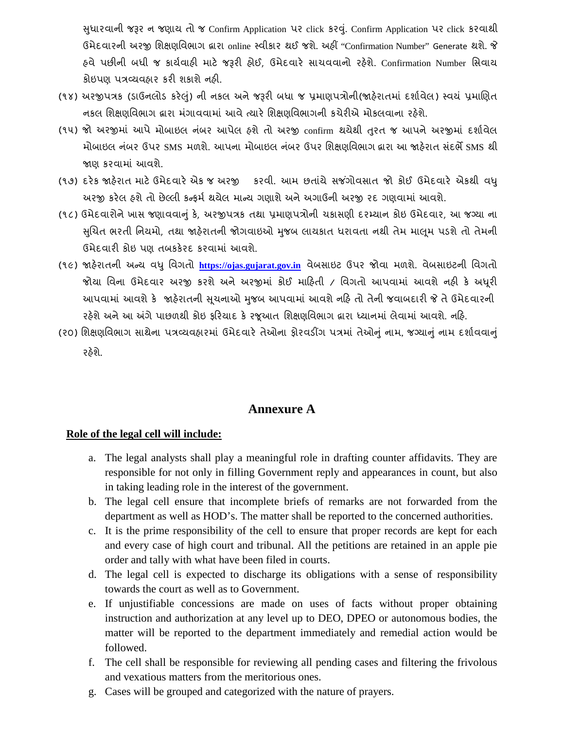�ધારવાની ુ જ�ર ન જણાય તો જ Confirm Application પર click કર�.ું Confirm Application પર click કરવાથી ઉમેદવારની અર� િશક્ષણિવભાગ દ્વારા online સ્વીકાર થઈ જશે. અહ� "Confirmation Number" Generate થશે. � હવે પછીની બધી જ કાર્યવાહી માટે જરૂરી હોઈ, ઉમેદવારે સાચવવાનો રહેશે. Confirmation Number સિવાય કોઇપણ પત્રવ્યવહાર કરી શકાશે નહી.

- (૧૪) અરજીપત્રક (ડાઉનલોડ કરેલું) ની નકલ અને જરૂરી બધા જ પ્રમાણપત્રોની(જાહેરાતમાં દર્શાવેલ) સ્વયં પ્રમાણિત નકલ શિક્ષણવિભાગ દ્વારા મંગાવવામાં આવે ત્યારે શિક્ષણવિભાગની કચેરીએ મોકલવાના રહેશે.
- (૧૫) જો અરજીમાં આપે મોબાઇલ નંબર આપેલ હશે તો અરજી confirm થયેથી તુરત જ આપને અરજીમાં દર્શાવેલ મોબાઇલ નંબર ઉપર SMS મળશે. આપના મોબાઇલ નંબર ઉપર શિક્ષણવિભાગ દ્વારા આ જાહેરાત સંદર્ભે SMS થી �ણ કરવામાં આવશે.
- (૧૭) દરેક જાહેરાત માટે ઉમેદવારે એક જ અરજી કરવી. આમ છતાંયે સજંગોવસાત જો કોઈ ઉમેદવારે એકથી વધુ અરજી કરેલ હશે તો છેલ્લી કન્ફર્મ થયેલ માન્ય ગણાશે અને અગાઉની અરજી રદ ગણવામાં આવશે.
- (૧૮) ઉમેદવારોને ખાસ જણાવવાનું કે, અરજીપત્રક તથા પ્રમાણપત્રોની ચકાસણી દરમ્યાન કોઇ ઉમેદવાર, આ જગ્યા ના સુચિત ભરતી નિયમો, તથા જાહેરાતની જોગવાઇઓ મુજબ લાયકાત ધરાવતા નથી તેમ માલૂમ પડશે તો તેમની ઉમેદવારી કોઇ પણ તબકકેરદ કરવામાં આવશે.
- (૧૯) �હ�રાતની અન્ય વ�ુિવગતો **[https://ojas.gujarat.gov.in](https://ojas.gujarat.gov.in/)** વેબસાઇટ ઉપર જોવા મળશે. વેબસાઇટની િવગતો જોયા વિના ઉમેદવાર અરજી કરશે અને અરજીમાં કોઈ માહિતી / વિગતો આપવામાં આવશે નહી કે અધૂરી આપવામાં આવશે કે જાહેરાતની સૂચનાઓ મુજબ આપવામાં આવશે નહિ તો તેની જવાબદારી જે તે ઉમેદવારની રહેશે અને આ અંગે પાછળથી કોઇ ફરિયાદ કે રજૂઆત શિક્ષણવિભાગ દ્વારા ધ્યાનમાં લેવામાં આવશે. નહિ.
- (૨૦) શિક્ષણવિભાગ સાથેના પત્રવ્યવહારમાં ઉમેદવારે તેઓના ફોરવડીંગ પત્રમાં તેઓનું નામ, જગ્યાનું નામ દર્શાવવાનું રહેશે.

### **Annexure A**

#### **Role of the legal cell will include:**

- a. The legal analysts shall play a meaningful role in drafting counter affidavits. They are responsible for not only in filling Government reply and appearances in count, but also in taking leading role in the interest of the government.
- b. The legal cell ensure that incomplete briefs of remarks are not forwarded from the department as well as HOD's. The matter shall be reported to the concerned authorities.
- c. It is the prime responsibility of the cell to ensure that proper records are kept for each and every case of high court and tribunal. All the petitions are retained in an apple pie order and tally with what have been filed in courts.
- d. The legal cell is expected to discharge its obligations with a sense of responsibility towards the court as well as to Government.
- e. If unjustifiable concessions are made on uses of facts without proper obtaining instruction and authorization at any level up to DEO, DPEO or autonomous bodies, the matter will be reported to the department immediately and remedial action would be followed.
- f. The cell shall be responsible for reviewing all pending cases and filtering the frivolous and vexatious matters from the meritorious ones.
- g. Cases will be grouped and categorized with the nature of prayers.